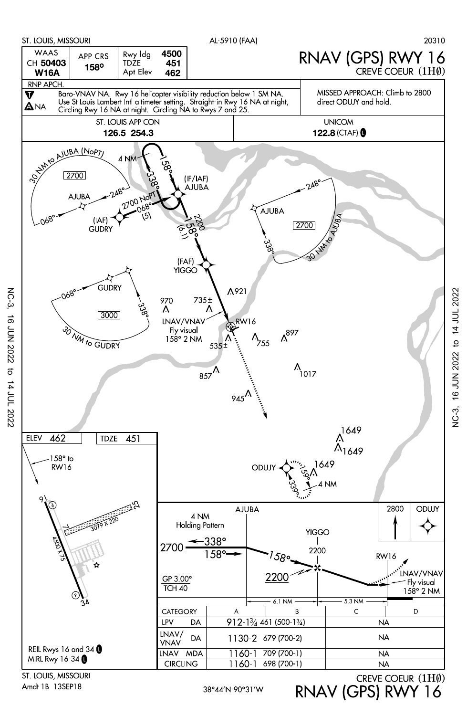

Amdt 1B 13SEP18

NC-3, 16 JUN 2022 to 14 JUL 2022

 $\vec{\sigma}$ 

14 JUL 2022

**16 JUN 2022** 

**NC-3** 

RNAV (GPS) RWY 16